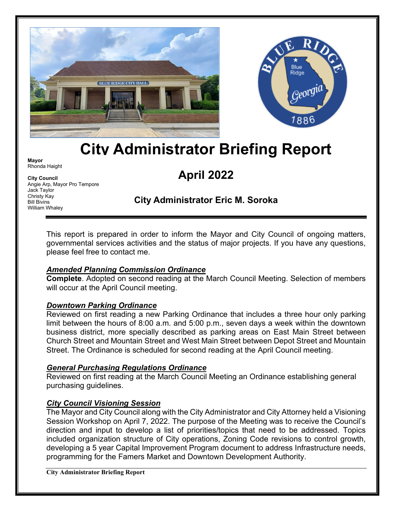



# **City Administrator Briefing Report**

**Mayor** Rhonda Haight

**City Council** Angie Arp, Mayor Pro Tempore Jack Taylor Christy Kay Bill Bivins William Whaley

## **April 2022**

### **City Administrator Eric M. Soroka**

This report is prepared in order to inform the Mayor and City Council of ongoing matters, governmental services activities and the status of major projects. If you have any questions, please feel free to contact me.

#### *Amended Planning Commission Ordinance*

**Complete**. Adopted on second reading at the March Council Meeting. Selection of members will occur at the April Council meeting.

#### *Downtown Parking Ordinance*

Reviewed on first reading a new Parking Ordinance that includes a three hour only parking limit between the hours of 8:00 a.m. and 5:00 p.m., seven days a week within the downtown business district, more specially described as parking areas on East Main Street between Church Street and Mountain Street and West Main Street between Depot Street and Mountain Street. The Ordinance is scheduled for second reading at the April Council meeting.

#### *General Purchasing Regulations Ordinance*

Reviewed on first reading at the March Council Meeting an Ordinance establishing general purchasing guidelines.

#### *City Council Visioning Session*

The Mayor and City Council along with the City Administrator and City Attorney held a Visioning Session Workshop on April 7, 2022. The purpose of the Meeting was to receive the Council's direction and input to develop a list of priorities/topics that need to be addressed. Topics included organization structure of City operations, Zoning Code revisions to control growth, developing a 5 year Capital Improvement Program document to address Infrastructure needs, programming for the Famers Market and Downtown Development Authority.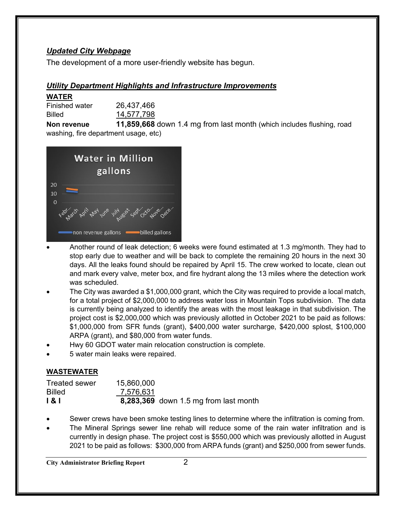#### *Updated City Webpage*

The development of a more user-friendly website has begun.

#### *Utility Department Highlights and Infrastructure Improvements*

#### **WATER**

| <b>Finished water</b> | 26,437,466 |
|-----------------------|------------|
| <b>Billed</b>         | 14,577,798 |

**Non revenue 11,859,668** down 1.4 mg from last month (which includes flushing, road washing, fire department usage, etc)



- Another round of leak detection; 6 weeks were found estimated at 1.3 mg/month. They had to stop early due to weather and will be back to complete the remaining 20 hours in the next 30 days. All the leaks found should be repaired by April 15. The crew worked to locate, clean out and mark every valve, meter box, and fire hydrant along the 13 miles where the detection work was scheduled.
- The City was awarded a \$1,000,000 grant, which the City was required to provide a local match, for a total project of \$2,000,000 to address water loss in Mountain Tops subdivision. The data is currently being analyzed to identify the areas with the most leakage in that subdivision. The project cost is \$2,000,000 which was previously allotted in October 2021 to be paid as follows: \$1,000,000 from SFR funds (grant), \$400,000 water surcharge, \$420,000 splost, \$100,000 ARPA (grant), and \$80,000 from water funds.
- Hwy 60 GDOT water main relocation construction is complete.
- 5 water main leaks were repaired.

#### **WASTEWATER**

| <b>Treated sewer</b> | 15,860,000 |                                       |
|----------------------|------------|---------------------------------------|
| <b>Billed</b>        | 7,576,631  |                                       |
| 181                  |            | 8,283,369 down 1.5 mg from last month |

- Sewer crews have been smoke testing lines to determine where the infiltration is coming from.
- The Mineral Springs sewer line rehab will reduce some of the rain water infiltration and is currently in design phase. The project cost is \$550,000 which was previously allotted in August 2021 to be paid as follows: \$300,000 from ARPA funds (grant) and \$250,000 from sewer funds.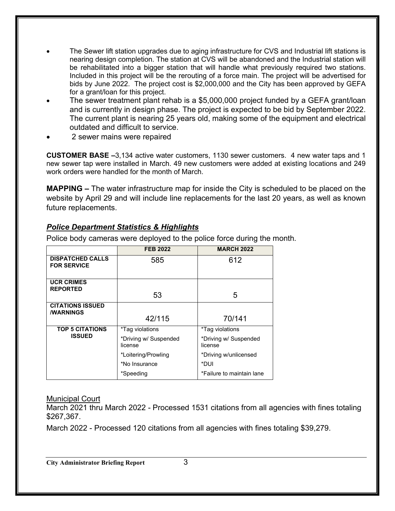- The Sewer lift station upgrades due to aging infrastructure for CVS and Industrial lift stations is nearing design completion. The station at CVS will be abandoned and the Industrial station will be rehabilitated into a bigger station that will handle what previously required two stations. Included in this project will be the rerouting of a force main. The project will be advertised for bids by June 2022. The project cost is \$2,000,000 and the City has been approved by GEFA for a grant/loan for this project.
- The sewer treatment plant rehab is a \$5,000,000 project funded by a GEFA grant/loan and is currently in design phase. The project is expected to be bid by September 2022. The current plant is nearing 25 years old, making some of the equipment and electrical outdated and difficult to service.
- 2 sewer mains were repaired

**CUSTOMER BASE –**3,134 active water customers, 1130 sewer customers. 4 new water taps and 1 new sewer tap were installed in March. 49 new customers were added at existing locations and 249 work orders were handled for the month of March.

**MAPPING –** The water infrastructure map for inside the City is scheduled to be placed on the website by April 29 and will include line replacements for the last 20 years, as well as known future replacements.

#### *Police Department Statistics & Highlights*

|                                               | <b>FEB 2022</b>                  | <b>MARCH 2022</b>                |
|-----------------------------------------------|----------------------------------|----------------------------------|
| <b>DISPATCHED CALLS</b><br><b>FOR SERVICE</b> | 585                              | 612                              |
| <b>UCR CRIMES</b><br><b>REPORTED</b>          | 53                               | 5                                |
| <b>CITATIONS ISSUED</b>                       |                                  |                                  |
| <b><i>I</i>WARNINGS</b>                       | 42/115                           | 70/141                           |
| <b>TOP 5 CITATIONS</b>                        | *Tag violations                  | *Tag violations                  |
| <b>ISSUED</b>                                 | *Driving w/ Suspended<br>license | *Driving w/ Suspended<br>license |
|                                               | *Loitering/Prowling              | *Driving w/unlicensed            |
|                                               | *No Insurance                    | *DUI                             |
|                                               | *Speeding                        | *Failure to maintain lane        |

Police body cameras were deployed to the police force during the month*.*

#### Municipal Court

March 2021 thru March 2022 - Processed 1531 citations from all agencies with fines totaling \$267,367.

March 2022 - Processed 120 citations from all agencies with fines totaling \$39,279.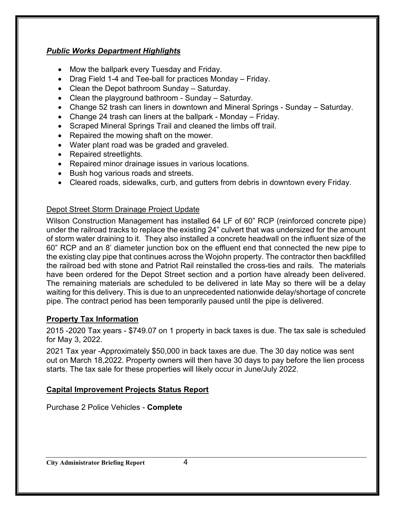#### *Public Works Department Highlights*

- Mow the ballpark every Tuesday and Friday.
- Drag Field 1-4 and Tee-ball for practices Monday Friday.
- Clean the Depot bathroom Sunday Saturday.
- Clean the playground bathroom Sunday Saturday.
- Change 52 trash can liners in downtown and Mineral Springs Sunday Saturday.
- Change 24 trash can liners at the ballpark Monday Friday.
- Scraped Mineral Springs Trail and cleaned the limbs off trail.
- Repaired the mowing shaft on the mower.
- Water plant road was be graded and graveled.
- Repaired streetlights.
- Repaired minor drainage issues in various locations.
- Bush hog various roads and streets.
- Cleared roads, sidewalks, curb, and gutters from debris in downtown every Friday.

#### Depot Street Storm Drainage Project Update

Wilson Construction Management has installed 64 LF of 60" RCP (reinforced concrete pipe) under the railroad tracks to replace the existing 24" culvert that was undersized for the amount of storm water draining to it. They also installed a concrete headwall on the influent size of the 60" RCP and an 8' diameter junction box on the effluent end that connected the new pipe to the existing clay pipe that continues across the Wojohn property. The contractor then backfilled the railroad bed with stone and Patriot Rail reinstalled the cross-ties and rails. The materials have been ordered for the Depot Street section and a portion have already been delivered. The remaining materials are scheduled to be delivered in late May so there will be a delay waiting for this delivery. This is due to an unprecedented nationwide delay/shortage of concrete pipe. The contract period has been temporarily paused until the pipe is delivered.

#### **Property Tax Information**

2015 -2020 Tax years - \$749.07 on 1 property in back taxes is due. The tax sale is scheduled for May 3, 2022.

2021 Tax year -Approximately \$50,000 in back taxes are due. The 30 day notice was sent out on March 18,2022. Property owners will then have 30 days to pay before the lien process starts. The tax sale for these properties will likely occur in June/July 2022.

#### **Capital Improvement Projects Status Report**

Purchase 2 Police Vehicles - **Complete**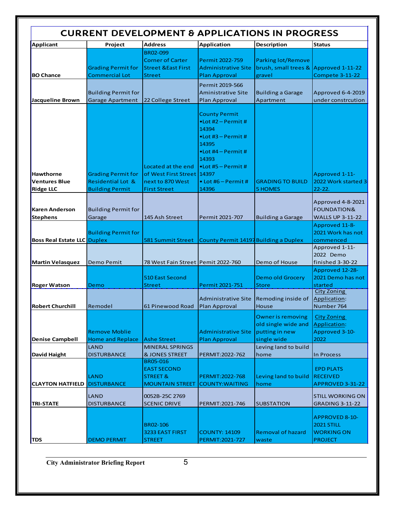| <b>CURRENT DEVELOPMENT &amp; APPLICATIONS IN PROGRESS</b>    |                                                                                     |                                                                                        |                                                                                                                                                                                                                              |                                                                                  |                                                                                   |
|--------------------------------------------------------------|-------------------------------------------------------------------------------------|----------------------------------------------------------------------------------------|------------------------------------------------------------------------------------------------------------------------------------------------------------------------------------------------------------------------------|----------------------------------------------------------------------------------|-----------------------------------------------------------------------------------|
| Applicant                                                    | Project                                                                             | <b>Address</b>                                                                         | <b>Application</b>                                                                                                                                                                                                           | <b>Description</b>                                                               | <b>Status</b>                                                                     |
| <b>BO Chance</b>                                             | <b>Grading Permit for</b><br><b>Commercial Lot</b>                                  | BR02-099<br><b>Corner of Carter</b><br><b>Street &amp; East First</b><br><b>Street</b> | Permit 2022-759<br><b>Administrative Site</b><br><b>Plan Approval</b>                                                                                                                                                        | <b>Parking lot/Remove</b><br>brush, small trees & Approved 1-11-22<br>gravel     | <b>Compete 3-11-22</b>                                                            |
| Jacqueline Brown                                             | <b>Building Permit for</b><br><b>Garage Apartment</b>                               | 22 College Street                                                                      | Permit 2019-566<br><b>Aministrative Site</b><br><b>Plan Approval</b>                                                                                                                                                         | <b>Building a Garage</b><br>Apartment                                            | Approved 6-4-2019<br>under constrcution                                           |
| <b>Hawthorne</b><br><b>Ventures Blue</b><br><b>Ridge LLC</b> | <b>Grading Permit for</b><br><b>Residential Lot &amp;</b><br><b>Building Permit</b> | Located at the end<br>of West First Street<br>next to 870 West<br><b>First Street</b>  | <b>County Permit</b><br>$\bullet$ Lot #2 – Permit #<br>14394<br>$\bullet$ Lot #3 – Permit #<br>14395<br>$\bullet$ Lot #4 – Permit #<br>14393<br>$\bullet$ Lot #5 - Permit #<br>14397<br>$\bullet$ Lot #6 – Permit #<br>14396 | <b>GRADING TO BUILD</b><br><b>5 HOMES</b>                                        | Approved 1-11-<br>2022 Work started 3<br>$22 - 22.$                               |
| <b>Karen Anderson</b><br>Stephens                            | <b>Building Permit for</b><br>Garage                                                | 145 Ash Street                                                                         | Permit 2021-707                                                                                                                                                                                                              | <b>Building a Garage</b>                                                         | Approved 4-8-2021<br><b>FOUNDATION&amp;</b><br><b>WALLS UP 3-11-22</b>            |
| <b>Boss Real Estate LLC Duplex</b>                           | <b>Building Permit for</b>                                                          | <b>581 Summit Street</b>                                                               | County Permit 14197 Building a Duplex                                                                                                                                                                                        |                                                                                  | Approved 11-8-<br>2021 Work has not<br>commenced<br>Approved 1-11-                |
| <b>Martin Velasquez</b>                                      | Demo Pemit                                                                          | 78 West Fain Street Pemit 2022-760                                                     |                                                                                                                                                                                                                              | Demo of House                                                                    | 2022 Demo<br>finished 3-30-22                                                     |
| <b>Roger Watson</b>                                          | Demo                                                                                | 510 East Second<br><b>Street</b>                                                       | Permit 2021-751                                                                                                                                                                                                              | <b>Demo old Grocery</b><br><b>Store</b>                                          | Approved 12-28-<br>2021 Demo has not<br>started<br><b>City Zoning</b>             |
| <b>Robert Churchill</b>                                      | Remodel                                                                             | 61 Pinewood Road                                                                       | Administrative Site<br>Plan Approval                                                                                                                                                                                         | Remoding inside of<br>House                                                      | Application:<br>Number 764                                                        |
| <b>Denise Campbell</b>                                       | <b>Remove Moblie</b><br><b>Home and Replace</b>                                     | <b>Ashe Street</b>                                                                     | <b>Administrative Site</b><br><b>Plan Approval</b>                                                                                                                                                                           | <b>Owner is removing</b><br>old single wide and<br>putting in new<br>single wide | <b>City Zoning</b><br>Application:<br>Approved 3-10-<br>2022                      |
| David Haight                                                 | LAND<br><b>DISTURBANCE</b>                                                          | <b>MINERAL SPRINGS</b><br><b>&amp; JONES STREET</b>                                    | PERMIT: 2022-762                                                                                                                                                                                                             | Leving land to build<br>home                                                     | In Process                                                                        |
| <b>CLAYTON HATFIELD</b>                                      | <b>LAND</b><br><b>DISTURBANCE</b>                                                   | <b>BR05-016</b><br><b>EAST SECOND</b><br><b>STREET &amp;</b><br><b>MOUNTAIN STREET</b> | PERMIT:2022-768<br><b>COUNTY: WAITING</b>                                                                                                                                                                                    | Leving land to build<br>home                                                     | <b>EPD PLATS</b><br><b>RECEIVED</b><br>APPROVED 3-31-22                           |
| <b>TRI-STATE</b>                                             | LAND<br><b>DISTURBANCE</b>                                                          | 0052B-25C 2769<br><b>SCENIC DRIVE</b>                                                  | PERMIT:2021-746                                                                                                                                                                                                              | <b>SUBSTATION</b>                                                                | <b>STILL WORKING ON</b><br><b>GRADING 3-11-22</b>                                 |
| <b>TDS</b>                                                   | <b>DEMO PERMIT</b>                                                                  | BR02-106<br>3233 EAST FIRST<br><b>STREET</b>                                           | <b>COUNTY: 14109</b><br>PERMIT:2021-727                                                                                                                                                                                      | <b>Removal of hazard</b><br>waste                                                | <b>APPROVED 8-10-</b><br><b>2021 STILL</b><br><b>WORKING ON</b><br><b>PROJECT</b> |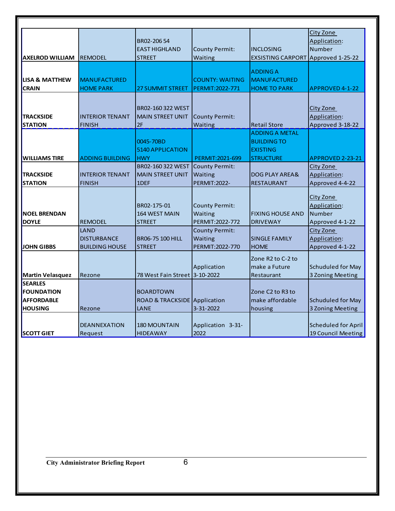| <b>AXELROD WILLIAM</b>                                                     | <b>REMODEL</b>                                      | BR02-20654<br><b>EAST HIGHLAND</b><br><b>STREET</b>      | <b>County Permit:</b><br>Waiting                        | <b>INCLOSING</b><br><b>EXSISTING CARPORT</b>                                       | City Zone<br>Application:<br>Number<br>Approved 1-25-22       |
|----------------------------------------------------------------------------|-----------------------------------------------------|----------------------------------------------------------|---------------------------------------------------------|------------------------------------------------------------------------------------|---------------------------------------------------------------|
| <b>LISA &amp; MATTHEW</b><br><b>CRAIN</b>                                  | <b>MANUFACTURED</b><br><b>HOME PARK</b>             | <b>27 SUMMIT STREET</b>                                  | <b>COUNTY: WAITING</b><br>PERMIT: 2022-771              | <b>ADDING A</b><br><b>MANUFACTURED</b><br><b>HOME TO PARK</b>                      | <b>APPROVED 4-1-22</b>                                        |
| <b>TRACKSIDE</b><br><b>STATION</b>                                         | <b>INTERIOR TENANT</b><br><b>FINISH</b>             | BR02-160 322 WEST<br><b>MAIN STREET UNIT</b><br>2F       | County Permit:<br>Waiting                               | <b>Retail Store</b>                                                                | <b>City Zone</b><br>Application:<br>Approved 3-18-22          |
| <b>WILLIAMS TIRE</b>                                                       | <b>ADDING BUILDING</b>                              | 0045-70BD<br><b>5140 APPLICATION</b><br><b>HWY</b>       | PERMIT: 2021-699                                        | <b>ADDING A METAL</b><br><b>BUILDING TO</b><br><b>EXISTING</b><br><b>STRUCTURE</b> | APPROVED 2-23-21                                              |
| <b>TRACKSIDE</b><br><b>STATION</b>                                         | <b>INTERIOR TENANT</b><br><b>FINISH</b>             | BR02-160 322 WEST<br><b>MAIN STREET UNIT</b><br>1DEF     | <b>County Permit:</b><br>Waiting<br><b>PERMIT:2022-</b> | <b>DOG PLAY AREA&amp;</b><br><b>RESTAURANT</b>                                     | City Zone<br>Application:<br>Approved 4-4-22                  |
| <b>NOEL BRENDAN</b><br><b>DOYLE</b>                                        | <b>REMODEL</b>                                      | BR02-175-01<br><b>164 WEST MAIN</b><br><b>STREET</b>     | County Permit:<br>Waiting<br>PERMIT: 2022-772           | <b>FIXING HOUSE AND</b><br><b>DRIVEWAY</b>                                         | <b>City Zone</b><br>Application:<br>Number<br>Approved 4-1-22 |
| <b>JOHN GIBBS</b>                                                          | LAND<br><b>DISTURBANCE</b><br><b>BUILDING HOUSE</b> | <b>BR06-75 100 HILL</b><br><b>STREET</b>                 | <b>County Permit:</b><br>Waiting<br>PERMIT: 2022-770    | <b>SINGLE FAMILY</b><br><b>HOME</b>                                                | City Zone<br>Application:<br>Approved 4-1-22                  |
| <b>Martin Velasquez</b>                                                    | Rezone                                              | 78 West Fain Street   3-10-2022                          | Application                                             | Zone R2 to C-2 to<br>make a Future<br>Restaurant                                   | <b>Schuduled for May</b><br>3 Zoning Meeting                  |
| <b>SEARLES</b><br><b>FOUNDATION</b><br><b>AFFORDABLE</b><br><b>HOUSING</b> | Rezone                                              | <b>BOARDTOWN</b><br>ROAD & TRACKSIDE Application<br>LANE | 3-31-2022                                               | Zone C <sub>2</sub> to R <sub>3</sub> to<br>make affordable<br>housing             | <b>Schuduled for May</b><br>3 Zoning Meeting                  |
| <b>SCOTT GIET</b>                                                          | <b>DEANNEXATION</b><br>Request                      | <b>180 MOUNTAIN</b><br><b>HIDEAWAY</b>                   | Application 3-31-<br>2022                               |                                                                                    | <b>Scheduled for April</b><br>19 Council Meeting              |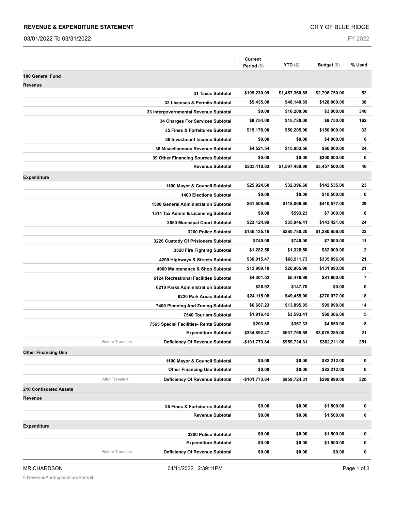#### **REVENUE & EXPENDITURE STATEMENT**

03/01/2022 To 03/31/2022

FY 2022

|                                                           | Current<br>Period (\$) | <b>YTD</b> $(\$)$ | Budget (\$)    | % Used                  |
|-----------------------------------------------------------|------------------------|-------------------|----------------|-------------------------|
| 100 General Fund                                          |                        |                   |                |                         |
| Revenue                                                   |                        |                   |                |                         |
| <b>31 Taxes Subtotal</b>                                  | \$199,230.09           | \$1,457,360.65    | \$2,796,750.00 | 52                      |
| 32 Licenses & Permits Subtotal                            | \$5,435.00             | \$48,140.69       | \$128,000.00   | 38                      |
| 33 Intergovernmental Revenue Subtotal                     | \$0.00                 | \$10,200.00       | \$3,000.00     | 340                     |
| 34 Charges For Services Subtotal                          | \$8,754.00             | \$15,780.00       | \$9,750.00     | 162                     |
| 35 Fines & Forfeitures Subtotal                           | \$15,178.00            | \$50,205.00       | \$150,000.00   | 33                      |
| 36 Investment Income Subtotal                             | \$0.00                 | \$0.00            | \$4,000.00     | $\bf{0}$                |
| 38 Miscellaneous Revenue Subtotal                         | \$4,521.54             | \$15,803.56       | \$66,000.00    | 24                      |
| 39 Other Financing Sources Subtotal                       | \$0.00                 | \$0.00            | \$300,000.00   | 0                       |
| <b>Revenue Subtotal</b>                                   | \$233,118.63           | \$1,597,489.90    | \$3,457,500.00 | 46                      |
| <b>Expenditure</b>                                        |                        |                   |                |                         |
| 1100 Mayor & Council Subtotal                             | \$25,924.60            | \$32,396.60       | \$142,535.00   | 23                      |
| <b>1400 Elections Subtotal</b>                            | \$0.00                 | \$0.00            | \$10,500.00    | $\bf{0}$                |
| <b>1500 General Administration Subtotal</b>               | \$61,509.60            | \$118,068.66      | \$410,577.00   | 29                      |
| 1514 Tax Admin & Licensing Subtotal                       | \$0.00                 | \$593.23          | \$7,300.00     | 8                       |
| 2650 Municipal Court Subtotal                             | \$23,124.99            | \$35,046.41       | \$143,421.00   | 24                      |
| 3200 Police Subtotal                                      | \$136,135.16           | \$280,780.20      | \$1,280,956.00 | 22                      |
| 3226 Custody Of Prisioners Subtotal                       | \$740.00               | \$740.00          | \$7,000.00     | 11                      |
| 3520 Fire Fighting Subtotal                               | \$1,282.50             | \$1,326.50        | \$82,000.00    | $\overline{\mathbf{2}}$ |
| 4200 Highways & Streets Subtotal                          | \$36,015.47            | \$68,911.73       | \$335,896.00   | 21                      |
| 4900 Maintenance & Shop Subtotal                          | \$12,909.10            | \$26,965.90       | \$131,093.00   | 21                      |
| 6124 Recreational Facilities Subtotal                     | \$4,301.52             | \$5,476.99        | \$81,600.00    | 7                       |
| 6210 Parks Administration Subtotal                        | \$26.92                | \$147.78          | \$0.00         | $\bf{0}$                |
| 6220 Park Areas Subtotal                                  | \$24,115.08            | \$49,455.00       | \$270,077.00   | 18                      |
| 7400 Planning And Zoning Subtotal                         | \$6,687.23             | \$13,895.85       | \$99,098.00    | 14                      |
| 7540 Tourism Subtotal                                     | \$1,916.42             | \$3,593.41        | \$68,386.00    | 5                       |
| 7565 Special Facilities- Renta Subtotal                   | \$203.88               | \$367.33          | \$4,850.00     | 8                       |
| <b>Expenditure Subtotal</b>                               | \$334,892.47           | \$637,765.59      | \$3,075,289.00 | 21                      |
| <b>Before Transfers</b><br>Deficiency Of Revenue Subtotal | -\$101,773.84          | \$959,724.31      | \$382,211.00   | 251                     |
| <b>Other Financing Use</b>                                |                        |                   |                |                         |
| 1100 Mayor & Council Subtotal                             | \$0.00                 | \$0.00            | \$82,212.00    | 0                       |
| <b>Other Financing Use Subtotal</b>                       | \$0.00                 | \$0.00            | \$82,212.00    | $\pmb{0}$               |
| <b>After Transfers</b><br>Deficiency Of Revenue Subtotal  | -\$101,773.84          | \$959,724.31      | \$299,999.00   | 320                     |
| <b>210 Confiscated Assets</b>                             |                        |                   |                |                         |
| Revenue                                                   |                        |                   |                |                         |
| 35 Fines & Forfeitures Subtotal                           | \$0.00                 | \$0.00            | \$1,500.00     | 0                       |
| <b>Revenue Subtotal</b>                                   | \$0.00                 | \$0.00            | \$1,500.00     | 0                       |
| <b>Expenditure</b>                                        |                        |                   |                |                         |
| 3200 Police Subtotal                                      | \$0.00                 | \$0.00            | \$1,500.00     | 0                       |
| <b>Expenditure Subtotal</b>                               | \$0.00                 | \$0.00            | \$1,500.00     | 0                       |
| <b>Before Transfers</b><br>Deficiency Of Revenue Subtotal | \$0.00                 | \$0.00            | \$0.00         | 0                       |
|                                                           |                        |                   |                |                         |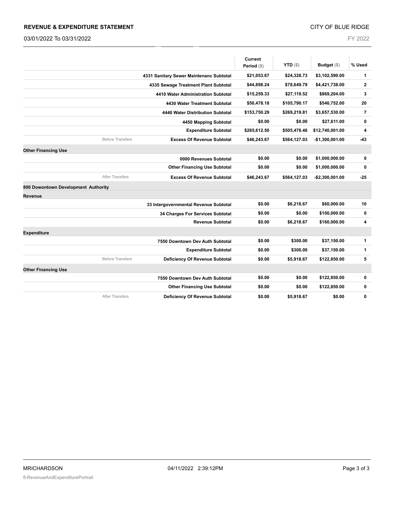#### **REVENUE & EXPENDITURE STATEMENT**

03/01/2022 To 03/31/2022

CITY OF BLUE RIDGE

FY 2022

|                                                              | Current       | <b>YTD</b> $($ \$) | Budget (\$)      | % Used         |
|--------------------------------------------------------------|---------------|--------------------|------------------|----------------|
|                                                              | Period $(\$)$ |                    |                  |                |
| 4331 Sanitary Sewer Maintenanc Subtotal                      | \$21,053.67   | \$24,328.73        | \$3,102,590.00   | 1              |
| 4335 Sewage Treatment Plant Subtotal                         | \$44,898.24   | \$78,649.79        | \$4,421,738.00   | $\mathbf 2$    |
| 4410 Water Administration Subtotal                           | \$15,259.33   | \$27,119.52        | \$869,204.00     | 3              |
| 4430 Water Treatment Subtotal                                | \$50,478.18   | \$105,790.17       | \$540,752.00     | 20             |
| 4440 Water Distribution Subtotal                             | \$153,750.29  | \$269,219.81       | \$3,657,530.00   | $\overline{7}$ |
| 4450 Mapping Subtotal                                        | \$0.00        | \$0.00             | \$27,611.00      | $\pmb{0}$      |
| <b>Expenditure Subtotal</b>                                  | \$285,612.50  | \$505,478.46       | \$12,740,001.00  | 4              |
| <b>Before Transfers</b><br><b>Excess Of Revenue Subtotal</b> | \$46,243.67   | \$564,127.03       | $-$1,300,001.00$ | $-43$          |
| <b>Other Financing Use</b>                                   |               |                    |                  |                |
| 0000 Revenues Subtotal                                       | \$0.00        | \$0.00             | \$1,000,000.00   | 0              |
| <b>Other Financing Use Subtotal</b>                          | \$0.00        | \$0.00             | \$1,000,000.00   | $\pmb{0}$      |
| <b>After Transfers</b><br><b>Excess Of Revenue Subtotal</b>  | \$46,243.67   | \$564,127.03       | $-$2,300,001.00$ | $-25$          |
| 800 Dowontown Development Authority                          |               |                    |                  |                |
| Revenue                                                      |               |                    |                  |                |
| 33 Intergovernmental Revenue Subtotal                        | \$0.00        | \$6,218.67         | \$60,000.00      | 10             |
| 34 Charges For Services Subtotal                             | \$0.00        | \$0.00             | \$100,000.00     | 0              |
| <b>Revenue Subtotal</b>                                      | \$0.00        | \$6,218.67         | \$160,000.00     | 4              |
| <b>Expenditure</b>                                           |               |                    |                  |                |
| 7550 Downtown Dev Auth Subtotal                              | \$0.00        | \$300.00           | \$37,150.00      | 1              |
| <b>Expenditure Subtotal</b>                                  | \$0.00        | \$300.00           | \$37,150.00      | 1              |
| <b>Before Transfers</b><br>Deficiency Of Revenue Subtotal    | \$0.00        | \$5,918.67         | \$122,850.00     | 5              |
| <b>Other Financing Use</b>                                   |               |                    |                  |                |
| 7550 Downtown Dev Auth Subtotal                              | \$0.00        | \$0.00             | \$122,850.00     | 0              |
| <b>Other Financing Use Subtotal</b>                          | \$0.00        | \$0.00             | \$122,850.00     | 0              |
| <b>After Transfers</b><br>Deficiency Of Revenue Subtotal     | \$0.00        | \$5,918.67         | \$0.00           | $\mathbf 0$    |
|                                                              |               |                    |                  |                |